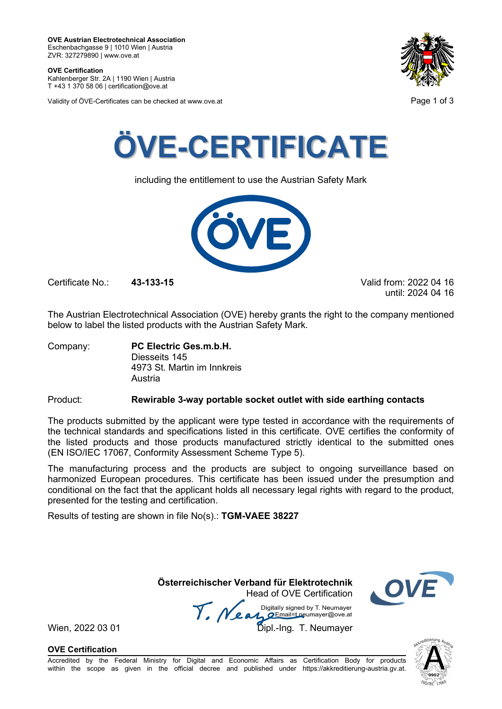**OVE Certification** Kahlenberger Str. 2A | 1190 Wien | Austria

T +43 1 370 58 06 | certification@ove.at

Validity of ÖVE-Certificates can be checked at www.ove.at **Page 1 of 3** Page 1 of 3





including the entitlement to use the Austrian Safety Mark



Certificate No.: **43-133-15** Valid from: 2022 04 16

until: 2024 04 16

The Austrian Electrotechnical Association (OVE) hereby grants the right to the company mentioned below to label the listed products with the Austrian Safety Mark.

Company: **PC Electric Ges.m.b.H.** Diesseits 145 4973 St. Martin im Innkreis Austria

### Product: **Rewirable 3-way portable socket outlet with side earthing contacts**

The products submitted by the applicant were type tested in accordance with the requirements of the technical standards and specifications listed in this certificate. OVE certifies the conformity of the listed products and those products manufactured strictly identical to the submitted ones (EN ISO/IEC 17067, Conformity Assessment Scheme Type 5).

The manufacturing process and the products are subject to ongoing surveillance based on harmonized European procedures. This certificate has been issued under the presumption and conditional on the fact that the applicant holds all necessary legal rights with regard to the product, presented for the testing and certification.

Results of testing are shown in file No(s).: **TGM-VAEE 38227**

 **Österreichischer Verband für Elektrotechnik** Head of OVE Certification

Wien, 2022 03 01 **1918**<br>Wien, 2022 03 01 **Dipl.-Ing. T. Neumayer** 



**OVE Certification**

Accredited by the Federal Ministry for Digital and Economic Affairs as Certification Body for products within the scope as given in the official decree and published under https://akkreditierung-austria.gv.at.

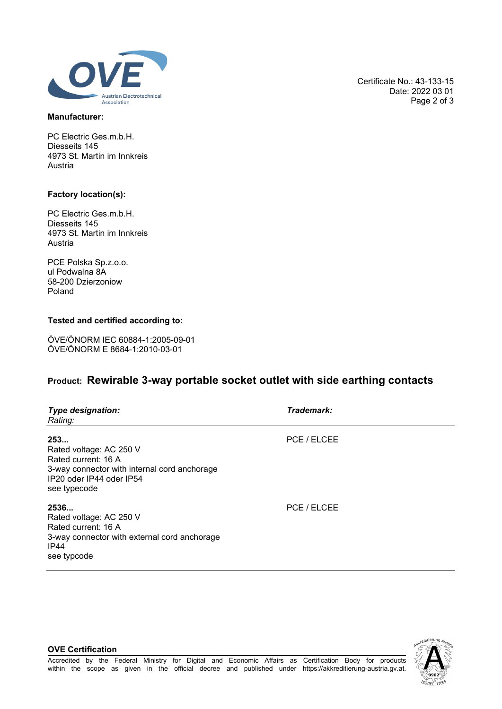

#### **Manufacturer:**

PC Electric Ges.m.b.H. Diesseits 145 4973 St. Martin im Innkreis Austria

#### **Factory location(s):**

PC Electric Ges.m.b.H. Diesseits 145 4973 St. Martin im Innkreis Austria

PCE Polska Sp.z.o.o. ul Podwalna 8A 58-200 Dzierzoniow Poland

### **Tested and certified according to:**

ÖVE/ÖNORM IEC 60884-1:2005-09-01 ÖVE/ÖNORM E 8684-1:2010-03-01

## **Product: Rewirable 3-way portable socket outlet with side earthing contacts**

| <b>Type designation:</b><br>Rating:                                                                                                               | Trademark:  |  |
|---------------------------------------------------------------------------------------------------------------------------------------------------|-------------|--|
| 253<br>Rated voltage: AC 250 V<br>Rated current: 16 A<br>3-way connector with internal cord anchorage<br>IP20 oder IP44 oder IP54<br>see typecode | PCE / ELCEE |  |
| 2536<br>Rated voltage: AC 250 V<br>Rated current: 16 A<br>3-way connector with external cord anchorage<br>IP44<br>see typcode                     | PCE / ELCEE |  |



Certificate No.: 43-133-15

Date: 2022 03 01 Page 2 of 3

#### **OVE Certification**